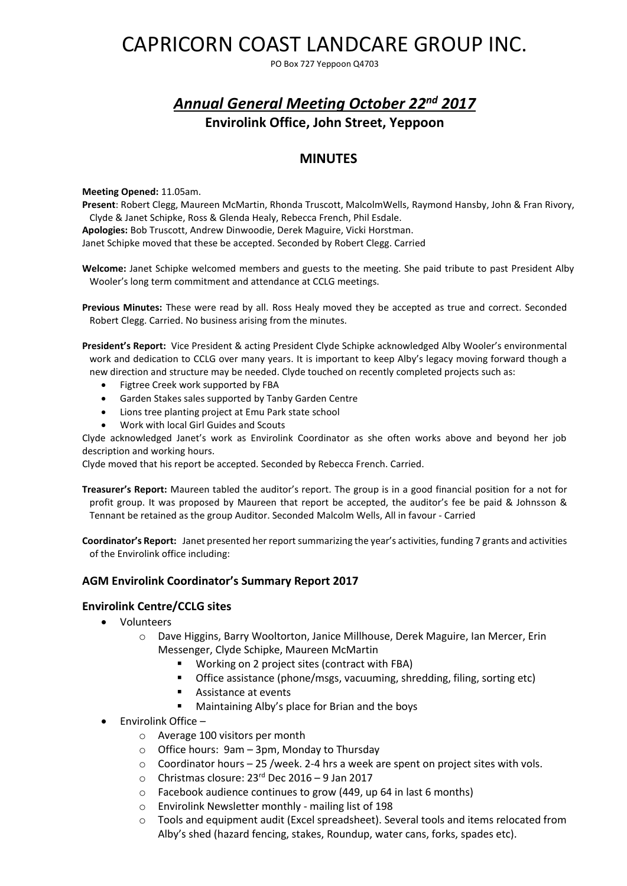# CAPRICORN COAST LANDCARE GROUP INC.

PO Box 727 Yeppoon Q4703

## *Annual General Meeting October 22nd 2017* **Envirolink Office, John Street, Yeppoon**

## **MINUTES**

#### **Meeting Opened:** 11.05am.

**Present**: Robert Clegg, Maureen McMartin, Rhonda Truscott, MalcolmWells, Raymond Hansby, John & Fran Rivory, Clyde & Janet Schipke, Ross & Glenda Healy, Rebecca French, Phil Esdale. **Apologies:** Bob Truscott, Andrew Dinwoodie, Derek Maguire, Vicki Horstman. Janet Schipke moved that these be accepted. Seconded by Robert Clegg. Carried

**Welcome:** Janet Schipke welcomed members and guests to the meeting. She paid tribute to past President Alby Wooler's long term commitment and attendance at CCLG meetings.

**Previous Minutes:** These were read by all. Ross Healy moved they be accepted as true and correct. Seconded Robert Clegg. Carried. No business arising from the minutes.

**President's Report:** Vice President & acting President Clyde Schipke acknowledged Alby Wooler's environmental work and dedication to CCLG over many years. It is important to keep Alby's legacy moving forward though a new direction and structure may be needed. Clyde touched on recently completed projects such as:

- Figtree Creek work supported by FBA
- Garden Stakes sales supported by Tanby Garden Centre
- Lions tree planting project at Emu Park state school
- Work with local Girl Guides and Scouts

Clyde acknowledged Janet's work as Envirolink Coordinator as she often works above and beyond her job description and working hours.

Clyde moved that his report be accepted. Seconded by Rebecca French. Carried.

**Treasurer's Report:** Maureen tabled the auditor's report. The group is in a good financial position for a not for profit group. It was proposed by Maureen that report be accepted, the auditor's fee be paid & Johnsson & Tennant be retained as the group Auditor. Seconded Malcolm Wells, All in favour - Carried

**Coordinator's Report:** Janet presented her report summarizing the year's activities, funding 7 grants and activities of the Envirolink office including:

#### **AGM Envirolink Coordinator's Summary Report 2017**

#### **Envirolink Centre/CCLG sites**

- Volunteers
	- o Dave Higgins, Barry Wooltorton, Janice Millhouse, Derek Maguire, Ian Mercer, Erin Messenger, Clyde Schipke, Maureen McMartin
		- Working on 2 project sites (contract with FBA)
		- Office assistance (phone/msgs, vacuuming, shredding, filing, sorting etc)
		- **Assistance at events**
		- **Maintaining Alby's place for Brian and the boys**
- Envirolink Office
	- o Average 100 visitors per month
	- o Office hours: 9am 3pm, Monday to Thursday
	- $\circ$  Coordinator hours 25 /week. 2-4 hrs a week are spent on project sites with vols.
	- $\circ$  Christmas closure: 23<sup>rd</sup> Dec 2016 9 Jan 2017
	- o Facebook audience continues to grow (449, up 64 in last 6 months)
	- o Envirolink Newsletter monthly mailing list of 198
	- $\circ$  Tools and equipment audit (Excel spreadsheet). Several tools and items relocated from Alby's shed (hazard fencing, stakes, Roundup, water cans, forks, spades etc).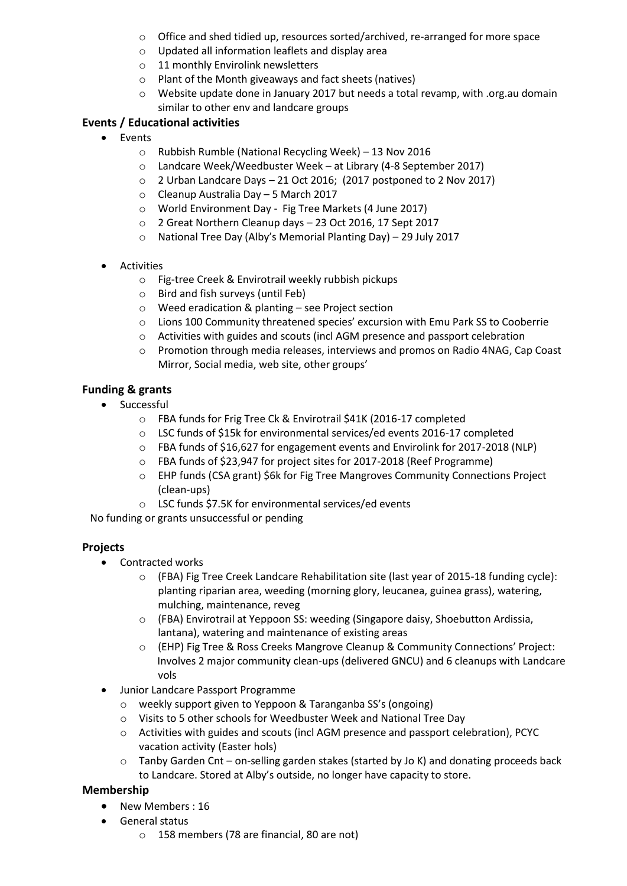- $\circ$  Office and shed tidied up, resources sorted/archived, re-arranged for more space
- o Updated all information leaflets and display area
- o 11 monthly Envirolink newsletters
- o Plant of the Month giveaways and fact sheets (natives)
- $\circ$  Website update done in January 2017 but needs a total revamp, with .org.au domain similar to other env and landcare groups

## **Events / Educational activities**

- Fvents
	- o Rubbish Rumble (National Recycling Week) 13 Nov 2016
	- o Landcare Week/Weedbuster Week at Library (4-8 September 2017)
	- o 2 Urban Landcare Days 21 Oct 2016; (2017 postponed to 2 Nov 2017)
	- o Cleanup Australia Day 5 March 2017
	- o World Environment Day Fig Tree Markets (4 June 2017)
	- o 2 Great Northern Cleanup days 23 Oct 2016, 17 Sept 2017
	- o National Tree Day (Alby's Memorial Planting Day) 29 July 2017
- Activities
	- o Fig-tree Creek & Envirotrail weekly rubbish pickups
	- o Bird and fish surveys (until Feb)
	- o Weed eradication & planting see Project section
	- o Lions 100 Community threatened species' excursion with Emu Park SS to Cooberrie
	- o Activities with guides and scouts (incl AGM presence and passport celebration
	- o Promotion through media releases, interviews and promos on Radio 4NAG, Cap Coast Mirror, Social media, web site, other groups'

### **Funding & grants**

- Successful
	- o FBA funds for Frig Tree Ck & Envirotrail \$41K (2016-17 completed
	- o LSC funds of \$15k for environmental services/ed events 2016-17 completed
	- o FBA funds of \$16,627 for engagement events and Envirolink for 2017-2018 (NLP)
	- o FBA funds of \$23,947 for project sites for 2017-2018 (Reef Programme)
	- o EHP funds (CSA grant) \$6k for Fig Tree Mangroves Community Connections Project (clean-ups)
	- o LSC funds \$7.5K for environmental services/ed events

No funding or grants unsuccessful or pending

#### **Projects**

- Contracted works
	- o (FBA) Fig Tree Creek Landcare Rehabilitation site (last year of 2015-18 funding cycle): planting riparian area, weeding (morning glory, leucanea, guinea grass), watering, mulching, maintenance, reveg
	- o (FBA) Envirotrail at Yeppoon SS: weeding (Singapore daisy, Shoebutton Ardissia, lantana), watering and maintenance of existing areas
	- o (EHP) Fig Tree & Ross Creeks Mangrove Cleanup & Community Connections' Project: Involves 2 major community clean-ups (delivered GNCU) and 6 cleanups with Landcare vols
- Junior Landcare Passport Programme
	- o weekly support given to Yeppoon & Taranganba SS's (ongoing)
	- o Visits to 5 other schools for Weedbuster Week and National Tree Day
	- o Activities with guides and scouts (incl AGM presence and passport celebration), PCYC vacation activity (Easter hols)
	- $\circ$  Tanby Garden Cnt on-selling garden stakes (started by Jo K) and donating proceeds back to Landcare. Stored at Alby's outside, no longer have capacity to store.

## **Membership**

- New Members : 16
- General status
	- o 158 members (78 are financial, 80 are not)